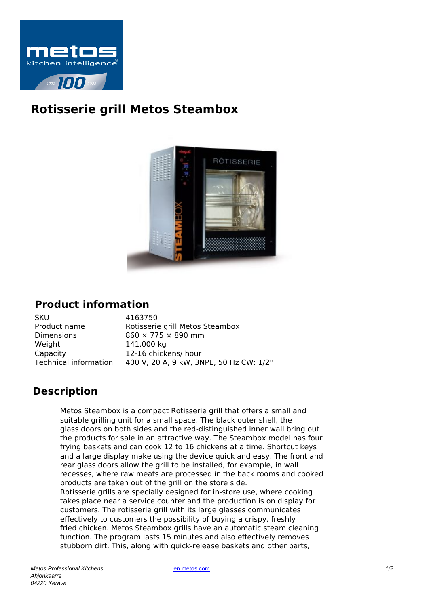

## **Rotisserie grill Metos Steambox**



## **Product information**

| <b>SKU</b>            | 4163750                                 |
|-----------------------|-----------------------------------------|
| Product name          | Rotisserie grill Metos Steambox         |
| <b>Dimensions</b>     | 860 × 775 × 890 mm                      |
| Weight                | 141,000 kg                              |
| Capacity              | 12-16 chickens/ hour                    |
| Technical information | 400 V, 20 A, 9 kW, 3NPE, 50 Hz CW: 1/2" |

## **Description**

Metos Steambox is a compact Rotisserie grill that offers a small and suitable grilling unit for a small space. The black outer shell, the glass doors on both sides and the red-distinguished inner wall bring out the products for sale in an attractive way. The Steambox model has four frying baskets and can cook 12 to 16 chickens at a time. Shortcut keys and a large display make using the device quick and easy. The front and rear glass doors allow the grill to be installed, for example, in wall recesses, where raw meats are processed in the back rooms and cooked products are taken out of the grill on the store side. Rotisserie grills are specially designed for in-store use, where cooking takes place near a service counter and the production is on display for customers. The rotisserie grill with its large glasses communicates effectively to customers the possibility of buying a crispy, freshly fried chicken. Metos Steambox grills have an automatic steam cleaning function. The program lasts 15 minutes and also effectively removes stubborn dirt. This, along with quick-release baskets and other parts,